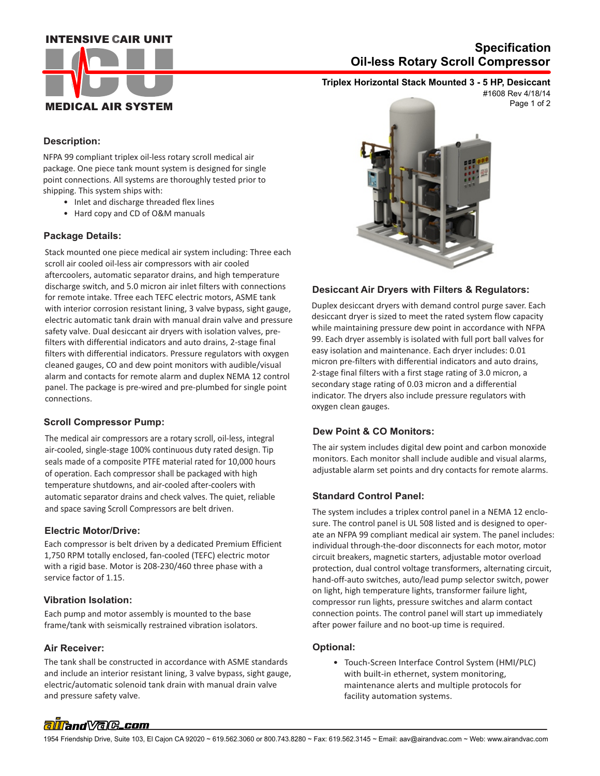### **INTENSIVE CAIR UNIT**



## **Oil-less Rotary Scroll Compressor Specification**

## **Triplex Horizontal Stack Mounted 3 - 5 HP, Desiccant**

Page 1 of 2 #1608 Rev 4/18/14

#### **Description:**

NFPA 99 compliant triplex oil-less rotary scroll medical air package. One piece tank mount system is designed for single point connections. All systems are thoroughly tested prior to shipping. This system ships with:

- Inlet and discharge threaded flex lines
- Hard copy and CD of O&M manuals

#### **Package Details:**

Stack mounted one piece medical air system including: Three each scroll air cooled oil-less air compressors with air cooled aftercoolers, automatic separator drains, and high temperature discharge switch, and 5.0 micron air inlet filters with connections for remote intake. Tfree each TEFC electric motors, ASME tank with interior corrosion resistant lining, 3 valve bypass, sight gauge, electric automatic tank drain with manual drain valve and pressure safety valve. Dual desiccant air dryers with isolation valves, prefilters with differential indicators and auto drains, 2-stage final filters with differential indicators. Pressure regulators with oxygen cleaned gauges, CO and dew point monitors with audible/visual alarm and contacts for remote alarm and duplex NEMA 12 control panel. The package is pre-wired and pre-plumbed for single point connections.

#### **Scroll Compressor Pump:**

The medical air compressors are a rotary scroll, oil-less, integral air-cooled, single-stage 100% continuous duty rated design. Tip seals made of a composite PTFE material rated for 10,000 hours of operation. Each compressor shall be packaged with high temperature shutdowns, and air-cooled after-coolers with automatic separator drains and check valves. The quiet, reliable and space saving Scroll Compressors are belt driven.

#### **Electric Motor/Drive:**

Each compressor is belt driven by a dedicated Premium Efficient 1,750 RPM totally enclosed, fan-cooled (TEFC) electric motor with a rigid base. Motor is 208-230/460 three phase with a service factor of 1.15.

#### **Vibration Isolation:**

Each pump and motor assembly is mounted to the base frame/tank with seismically restrained vibration isolators.

#### **Air Receiver:**

 and pressure safety valve. The tank shall be constructed in accordance with ASME standards and include an interior resistant lining, 3 valve bypass, sight gauge, electric/automatic solenoid tank drain with manual drain valve



#### **Desiccant Air Dryers with Filters & Regulators:**

Duplex desiccant dryers with demand control purge saver. Each desiccant dryer is sized to meet the rated system flow capacity while maintaining pressure dew point in accordance with NFPA 99. Each dryer assembly is isolated with full port ball valves for easy isolation and maintenance. Each dryer includes: 0.01 micron pre-filters with differential indicators and auto drains, 2-stage final filters with a first stage rating of 3.0 micron, a secondary stage rating of 0.03 micron and a differential indicator. The dryers also include pressure regulators with oxygen clean gauges.

#### **Dew Point & CO Monitors:**

The air system includes digital dew point and carbon monoxide monitors. Each monitor shall include audible and visual alarms, adjustable alarm set points and dry contacts for remote alarms.

#### **Standard Control Panel:**

The system includes a triplex control panel in a NEMA 12 enclosure. The control panel is UL 508 listed and is designed to operate an NFPA 99 compliant medical air system. The panel includes: individual through-the-door disconnects for each motor, motor circuit breakers, magnetic starters, adjustable motor overload protection, dual control voltage transformers, alternating circuit, hand-off-auto switches, auto/lead pump selector switch, power on light, high temperature lights, transformer failure light, compressor run lights, pressure switches and alarm contact connection points. The control panel will start up immediately after power failure and no boot-up time is required.

#### **Optional:**

 • Touch-Screen Interface Control System (HMI/PLC) with built-in ethernet, system monitoring, maintenance alerts and multiple protocols for facility automation systems.

# alland Vale\_com

1954 Friendship Drive, Suite 103, El Cajon CA 92020 ~ 619.562.3060 or 800.743.8280 ~ Fax: 619.562.3145 ~ Email: aav@airandvac.com ~ Web: www.airandvac.com